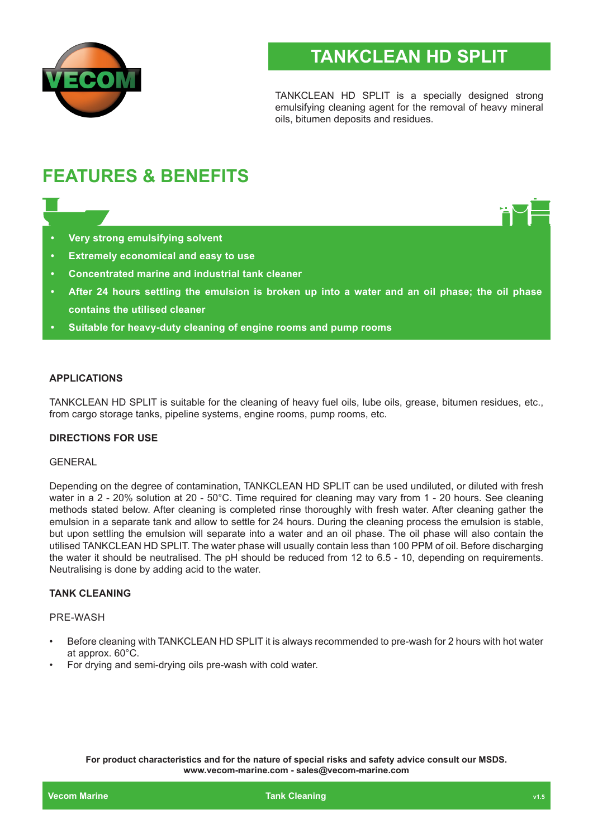

# **TANKCLEAN HD SPLIT**

TANKCLEAN HD SPLIT is a specially designed strong emulsifying cleaning agent for the removal of heavy mineral oils, bitumen deposits and residues.

# **FEATURES & BENEFITS**

- **• Very strong emulsifying solvent**
- **• Extremely economical and easy to use**
- **• Concentrated marine and industrial tank cleaner**
- **• After 24 hours settling the emulsion is broken up into a water and an oil phase; the oil phase contains the utilised cleaner**
- **• Suitable for heavy-duty cleaning of engine rooms and pump rooms**

# **APPLICATIONS**

TANKCLEAN HD SPLIT is suitable for the cleaning of heavy fuel oils, lube oils, grease, bitumen residues, etc., from cargo storage tanks, pipeline systems, engine rooms, pump rooms, etc.

#### **DIRECTIONS FOR USE**

# **GENERAL**

Depending on the degree of contamination, TANKCLEAN HD SPLIT can be used undiluted, or diluted with fresh water in a 2 - 20% solution at 20 - 50°C. Time required for cleaning may vary from 1 - 20 hours. See cleaning methods stated below. After cleaning is completed rinse thoroughly with fresh water. After cleaning gather the emulsion in a separate tank and allow to settle for 24 hours. During the cleaning process the emulsion is stable, but upon settling the emulsion will separate into a water and an oil phase. The oil phase will also contain the utilised TANKCLEAN HD SPLIT. The water phase will usually contain less than 100 PPM of oil. Before discharging the water it should be neutralised. The pH should be reduced from 12 to 6.5 - 10, depending on requirements. Neutralising is done by adding acid to the water.

# **TANK CLEANING**

#### PRE-WASH

- Before cleaning with TANKCLEAN HD SPLIT it is always recommended to pre-wash for 2 hours with hot water at approx. 60°C.
- For drying and semi-drying oils pre-wash with cold water.

**For product characteristics and for the nature of special risks and safety advice consult our MSDS. www.vecom-marine.com - sales@vecom-marine.com**